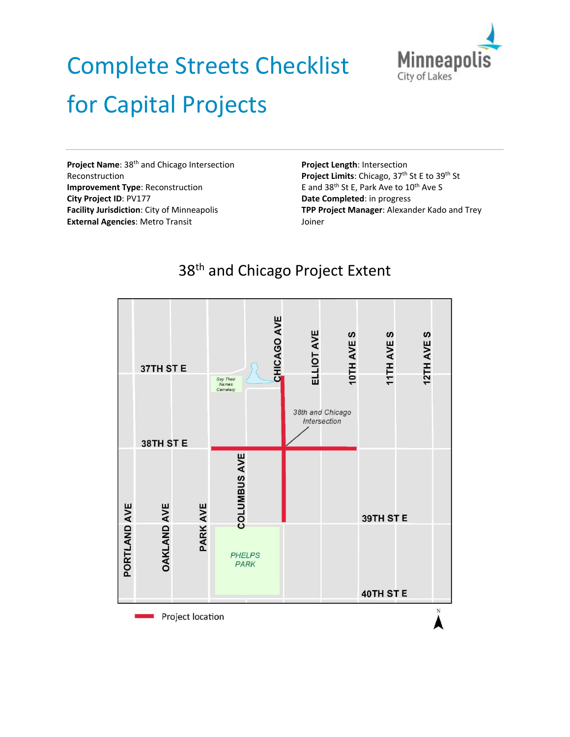

# Complete Streets Checklist for Capital Projects

**Project Name**: 38th and Chicago Intersection Reconstruction **Improvement Type**: Reconstruction **City Project ID**: PV177 **Facility Jurisdiction**: City of Minneapolis **External Agencies**: Metro Transit

**Project Length**: Intersection Project Limits: Chicago, 37<sup>th</sup> St E to 39<sup>th</sup> St E and 38<sup>th</sup> St E, Park Ave to 10<sup>th</sup> Ave S **Date Completed**: in progress **TPP Project Manager**: Alexander Kado and Trey Joiner



# 38<sup>th</sup> and Chicago Project Extent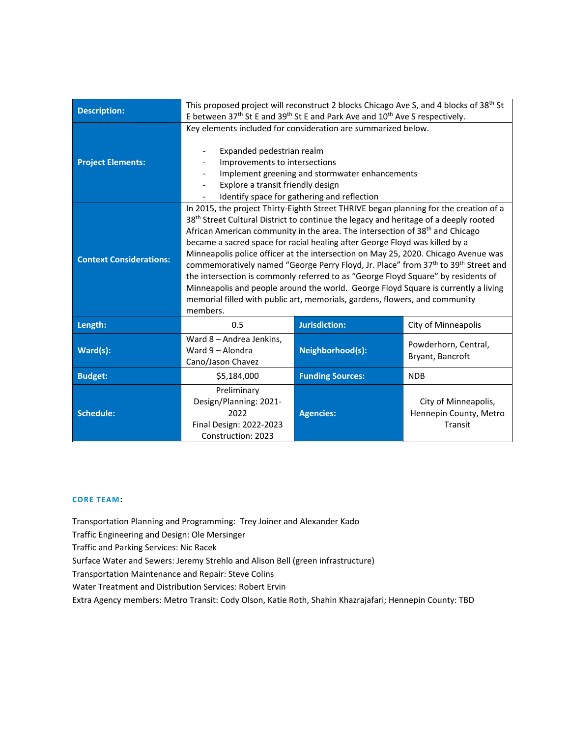| <b>Description:</b>            |                                                                                                                                                                                                                                                                                                                                                                                                                                                                                                                                                                                                                                                                                                                                                                                                                                                | This proposed project will reconstruct 2 blocks Chicago Ave S, and 4 blocks of 38 <sup>th</sup> St<br>E between 37 <sup>th</sup> St E and 39 <sup>th</sup> St E and Park Ave and 10 <sup>th</sup> Ave S respectively. |                                                           |  |
|--------------------------------|------------------------------------------------------------------------------------------------------------------------------------------------------------------------------------------------------------------------------------------------------------------------------------------------------------------------------------------------------------------------------------------------------------------------------------------------------------------------------------------------------------------------------------------------------------------------------------------------------------------------------------------------------------------------------------------------------------------------------------------------------------------------------------------------------------------------------------------------|-----------------------------------------------------------------------------------------------------------------------------------------------------------------------------------------------------------------------|-----------------------------------------------------------|--|
| <b>Project Elements:</b>       | Key elements included for consideration are summarized below.<br>Expanded pedestrian realm<br>Improvements to intersections<br>Implement greening and stormwater enhancements<br>Explore a transit friendly design<br>Identify space for gathering and reflection                                                                                                                                                                                                                                                                                                                                                                                                                                                                                                                                                                              |                                                                                                                                                                                                                       |                                                           |  |
| <b>Context Considerations:</b> | In 2015, the project Thirty-Eighth Street THRIVE began planning for the creation of a<br>38 <sup>th</sup> Street Cultural District to continue the legacy and heritage of a deeply rooted<br>African American community in the area. The intersection of 38 <sup>th</sup> and Chicago<br>became a sacred space for racial healing after George Floyd was killed by a<br>Minneapolis police officer at the intersection on May 25, 2020. Chicago Avenue was<br>commemoratively named "George Perry Floyd, Jr. Place" from 37 <sup>th</sup> to 39 <sup>th</sup> Street and<br>the intersection is commonly referred to as "George Floyd Square" by residents of<br>Minneapolis and people around the world. George Floyd Square is currently a living<br>memorial filled with public art, memorials, gardens, flowers, and community<br>members. |                                                                                                                                                                                                                       |                                                           |  |
| Length:                        | 0.5                                                                                                                                                                                                                                                                                                                                                                                                                                                                                                                                                                                                                                                                                                                                                                                                                                            | <b>Jurisdiction:</b>                                                                                                                                                                                                  | City of Minneapolis                                       |  |
| Ward(s):                       | Ward 8 - Andrea Jenkins,<br>Ward 9 - Alondra<br>Cano/Jason Chavez                                                                                                                                                                                                                                                                                                                                                                                                                                                                                                                                                                                                                                                                                                                                                                              | Neighborhood(s):                                                                                                                                                                                                      | Powderhorn, Central,<br>Bryant, Bancroft                  |  |
| <b>Budget:</b>                 | \$5,184,000                                                                                                                                                                                                                                                                                                                                                                                                                                                                                                                                                                                                                                                                                                                                                                                                                                    | <b>Funding Sources:</b>                                                                                                                                                                                               | <b>NDB</b>                                                |  |
| <b>Schedule:</b>               | Preliminary<br>Design/Planning: 2021-<br>2022<br>Final Design: 2022-2023<br>Construction: 2023                                                                                                                                                                                                                                                                                                                                                                                                                                                                                                                                                                                                                                                                                                                                                 | <b>Agencies:</b>                                                                                                                                                                                                      | City of Minneapolis,<br>Hennepin County, Metro<br>Transit |  |

#### **CORE TEAM:**

Transportation Planning and Programming: Trey Joiner and Alexander Kado

Traffic Engineering and Design: Ole Mersinger

Traffic and Parking Services: Nic Racek

Surface Water and Sewers: Jeremy Strehlo and Alison Bell (green infrastructure)

Transportation Maintenance and Repair: Steve Colins

Water Treatment and Distribution Services: Robert Ervin

Extra Agency members: Metro Transit: Cody Olson, Katie Roth, Shahin Khazrajafari; Hennepin County: TBD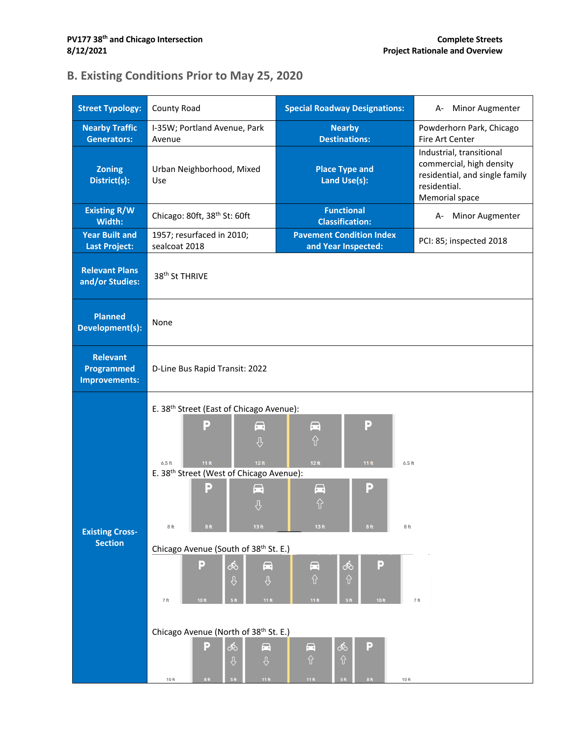# **B. Existing Conditions Prior to May 25, 2020**

| <b>Nearby Traffic</b><br><b>Nearby</b><br>I-35W; Portland Avenue, Park<br>Powderhorn Park, Chicago<br><b>Destinations:</b><br><b>Generators:</b><br>Fire Art Center<br>Avenue<br>Industrial, transitional<br>commercial, high density<br><b>Zoning</b><br><b>Place Type and</b><br>Urban Neighborhood, Mixed<br>residential, and single family<br>District(s):<br>Land Use(s):<br>Use<br>residential.<br>Memorial space<br><b>Existing R/W</b><br><b>Functional</b><br>Chicago: 80ft, 38 <sup>th</sup> St: 60ft<br>A- Minor Augmenter<br><b>Classification:</b><br>Width:<br><b>Pavement Condition Index</b><br><b>Year Built and</b><br>1957; resurfaced in 2010;<br>PCI: 85; inspected 2018<br>sealcoat 2018<br>and Year Inspected:<br><b>Last Project:</b><br><b>Relevant Plans</b><br>38 <sup>th</sup> St THRIVE<br>and/or Studies:<br><b>Planned</b><br>None<br>Development(s):<br><b>Relevant</b><br>Programmed<br>D-Line Bus Rapid Transit: 2022<br><b>Improvements:</b><br>E. 38 <sup>th</sup> Street (East of Chicago Avenue):<br>P<br>$\blacksquare$<br>$\blacksquare$<br>$\blacksquare$<br>$\hat{U}$<br>$\hat{\mathbf{y}}$<br>12 ft<br>11 <sub>ft</sub><br>12 <sub>ft</sub><br>11 <sub>ft</sub><br>$6.5$ ft<br>$6.5$ ft<br>E. 38 <sup>th</sup> Street (West of Chicago Avenue):<br>Р<br>Р<br>$\blacksquare$<br>$\blacksquare$<br>⇧<br>$\overline{v}$<br>13 <sub>ft</sub><br>13 <sub>ft</sub><br>8ft<br>8 <sub>ft</sub><br>8 <sub>ft</sub><br>8ft<br><b>Existing Cross-</b><br><b>Section</b><br>Chicago Avenue (South of 38 <sup>th</sup> St. E.)<br>P<br>௸<br>P<br>००<br>$\blacksquare$<br>$\blacksquare$<br>$\hat{v}$<br>$\hat{v}$<br>$\varphi$<br>$\varphi$<br>$7\,\mathrm{ft}$<br>11 <sub>ft</sub><br>11 <sub>ft</sub><br>10 ft<br>5 <sup>ft</sup><br>5 <sub>ft</sub><br>10 <sub>ft</sub><br>7ft<br>Chicago Avenue (North of 38 <sup>th</sup> St. E.)<br>P<br>ஂ<br>P<br>$\blacksquare$<br>०ैं०<br>$\blacksquare$ | <b>Street Typology:</b> | County Road            | <b>Special Roadway Designations:</b> | Minor Augmenter<br>А- |  |  |
|---------------------------------------------------------------------------------------------------------------------------------------------------------------------------------------------------------------------------------------------------------------------------------------------------------------------------------------------------------------------------------------------------------------------------------------------------------------------------------------------------------------------------------------------------------------------------------------------------------------------------------------------------------------------------------------------------------------------------------------------------------------------------------------------------------------------------------------------------------------------------------------------------------------------------------------------------------------------------------------------------------------------------------------------------------------------------------------------------------------------------------------------------------------------------------------------------------------------------------------------------------------------------------------------------------------------------------------------------------------------------------------------------------------------------------------------------------------------------------------------------------------------------------------------------------------------------------------------------------------------------------------------------------------------------------------------------------------------------------------------------------------------------------------------------------------------------------------------------------------------------------------------------------------------------------|-------------------------|------------------------|--------------------------------------|-----------------------|--|--|
|                                                                                                                                                                                                                                                                                                                                                                                                                                                                                                                                                                                                                                                                                                                                                                                                                                                                                                                                                                                                                                                                                                                                                                                                                                                                                                                                                                                                                                                                                                                                                                                                                                                                                                                                                                                                                                                                                                                                 |                         |                        |                                      |                       |  |  |
|                                                                                                                                                                                                                                                                                                                                                                                                                                                                                                                                                                                                                                                                                                                                                                                                                                                                                                                                                                                                                                                                                                                                                                                                                                                                                                                                                                                                                                                                                                                                                                                                                                                                                                                                                                                                                                                                                                                                 |                         |                        |                                      |                       |  |  |
|                                                                                                                                                                                                                                                                                                                                                                                                                                                                                                                                                                                                                                                                                                                                                                                                                                                                                                                                                                                                                                                                                                                                                                                                                                                                                                                                                                                                                                                                                                                                                                                                                                                                                                                                                                                                                                                                                                                                 |                         |                        |                                      |                       |  |  |
|                                                                                                                                                                                                                                                                                                                                                                                                                                                                                                                                                                                                                                                                                                                                                                                                                                                                                                                                                                                                                                                                                                                                                                                                                                                                                                                                                                                                                                                                                                                                                                                                                                                                                                                                                                                                                                                                                                                                 |                         |                        |                                      |                       |  |  |
|                                                                                                                                                                                                                                                                                                                                                                                                                                                                                                                                                                                                                                                                                                                                                                                                                                                                                                                                                                                                                                                                                                                                                                                                                                                                                                                                                                                                                                                                                                                                                                                                                                                                                                                                                                                                                                                                                                                                 |                         |                        |                                      |                       |  |  |
|                                                                                                                                                                                                                                                                                                                                                                                                                                                                                                                                                                                                                                                                                                                                                                                                                                                                                                                                                                                                                                                                                                                                                                                                                                                                                                                                                                                                                                                                                                                                                                                                                                                                                                                                                                                                                                                                                                                                 |                         |                        |                                      |                       |  |  |
|                                                                                                                                                                                                                                                                                                                                                                                                                                                                                                                                                                                                                                                                                                                                                                                                                                                                                                                                                                                                                                                                                                                                                                                                                                                                                                                                                                                                                                                                                                                                                                                                                                                                                                                                                                                                                                                                                                                                 |                         |                        |                                      |                       |  |  |
|                                                                                                                                                                                                                                                                                                                                                                                                                                                                                                                                                                                                                                                                                                                                                                                                                                                                                                                                                                                                                                                                                                                                                                                                                                                                                                                                                                                                                                                                                                                                                                                                                                                                                                                                                                                                                                                                                                                                 |                         | $\varphi$<br>$\varphi$ | $\hat{v}$<br>$\hat{v}$               |                       |  |  |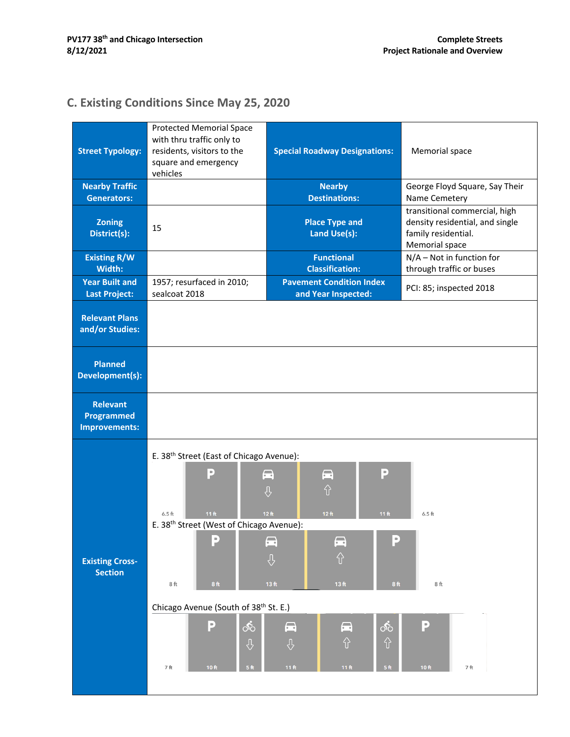# **C. Existing Conditions Since May 25, 2020**

| <b>Street Typology:</b>                                      | <b>Protected Memorial Space</b><br>with thru traffic only to<br>residents, visitors to the<br>square and emergency<br>vehicles                                                                                                                                                                    | <b>Special Roadway Designations:</b>                                                                                                                                                                                                                                                                                                  | Memorial space                                                                                            |
|--------------------------------------------------------------|---------------------------------------------------------------------------------------------------------------------------------------------------------------------------------------------------------------------------------------------------------------------------------------------------|---------------------------------------------------------------------------------------------------------------------------------------------------------------------------------------------------------------------------------------------------------------------------------------------------------------------------------------|-----------------------------------------------------------------------------------------------------------|
| <b>Nearby Traffic</b><br>Generators:                         |                                                                                                                                                                                                                                                                                                   | <b>Nearby</b><br><b>Destinations:</b>                                                                                                                                                                                                                                                                                                 | George Floyd Square, Say Their<br>Name Cemetery                                                           |
| <b>Zoning</b><br>District(s):                                | 15                                                                                                                                                                                                                                                                                                | <b>Place Type and</b><br>Land Use(s):                                                                                                                                                                                                                                                                                                 | transitional commercial, high<br>density residential, and single<br>family residential.<br>Memorial space |
| <b>Existing R/W</b><br>Width:                                |                                                                                                                                                                                                                                                                                                   | <b>Functional</b><br><b>Classification:</b>                                                                                                                                                                                                                                                                                           | $N/A$ – Not in function for<br>through traffic or buses                                                   |
| <b>Year Built and</b><br><b>Last Project:</b>                | 1957; resurfaced in 2010;<br>sealcoat 2018                                                                                                                                                                                                                                                        | <b>Pavement Condition Index</b><br>and Year Inspected:                                                                                                                                                                                                                                                                                | PCI: 85; inspected 2018                                                                                   |
| <b>Relevant Plans</b><br>and/or Studies:                     |                                                                                                                                                                                                                                                                                                   |                                                                                                                                                                                                                                                                                                                                       |                                                                                                           |
| <b>Planned</b><br>Development(s):                            |                                                                                                                                                                                                                                                                                                   |                                                                                                                                                                                                                                                                                                                                       |                                                                                                           |
| <b>Relevant</b><br><b>Programmed</b><br><b>Improvements:</b> |                                                                                                                                                                                                                                                                                                   |                                                                                                                                                                                                                                                                                                                                       |                                                                                                           |
| <b>Existing Cross-</b><br><b>Section</b>                     | E. 38 <sup>th</sup> Street (East of Chicago Avenue):<br>B<br>11 <sub>ft</sub><br>$6.5$ ft<br>E. 38 <sup>th</sup> Street (West of Chicago Avenue):<br>E<br>8ft<br>8 ft<br>Chicago Avenue (South of 38 <sup>th</sup> St. E.)<br>P<br>$\infty$<br>$\overline{v}$<br>7ft<br>10 ft<br>$5\,\mathrm{ft}$ | Đ<br>$\blacksquare$<br>$\blacksquare$<br>⇧<br>$\theta$<br>12 <sub>ft</sub><br>12 <sub>ft</sub><br>11 <sub>ft</sub><br>P<br>$\blacksquare$<br>$\blacksquare$<br>⇧<br>⊕<br>13 ft<br>13 <sub>ft</sub><br>8 <sub>ft</sub><br>$\blacksquare$<br>$\blacksquare$<br>$\delta$<br>⇧<br>⇧<br>$\varphi$<br>11 $ft$<br>11 $ft$<br>5 <sup>ft</sup> | $6.5$ ft<br>8ft<br>P<br>10 ft<br>7ft                                                                      |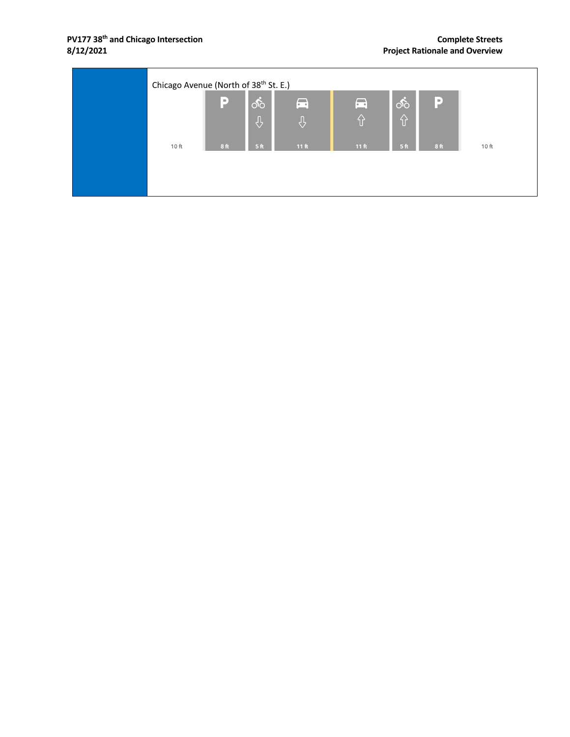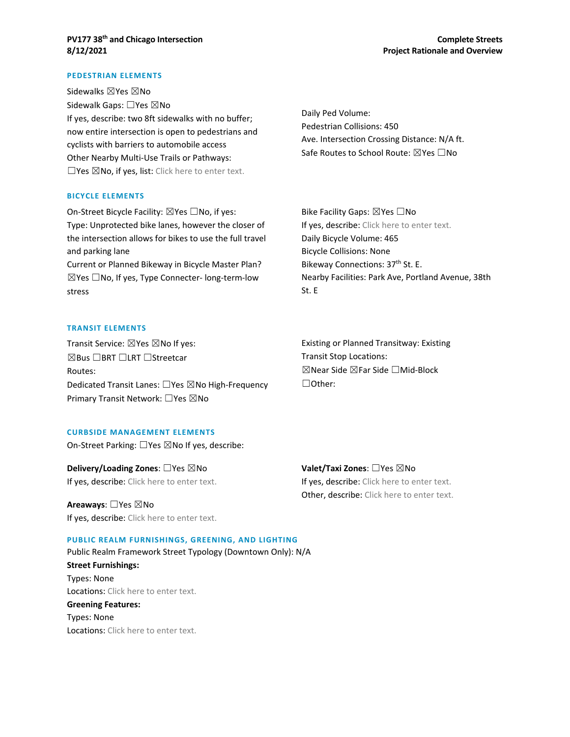#### **PEDESTRIAN ELEMENTS**

Sidewalks ⊠Yes ⊠No Sidewalk Gaps: □Yes ⊠No If yes, describe: two 8ft sidewalks with no buffer; now entire intersection is open to pedestrians and cyclists with barriers to automobile access Other Nearby Multi-Use Trails or Pathways: □Yes ⊠No, if yes, list: Click here to enter text.

#### **BICYCLE ELEMENTS**

On-Street Bicycle Facility: ⊠Yes □No, if yes: Type: Unprotected bike lanes, however the closer of the intersection allows for bikes to use the full travel and parking lane

Current or Planned Bikeway in Bicycle Master Plan?  $\boxtimes$ Yes  $\Box$ No, If yes, Type Connecter- long-term-low stress

Daily Ped Volume: Pedestrian Collisions: 450 Ave. Intersection Crossing Distance: N/A ft. Safe Routes to School Route: ⊠Yes □No

Bike Facility Gaps: ⊠Yes □No If yes, describe: Click here to enter text. Daily Bicycle Volume: 465 Bicycle Collisions: None Bikeway Connections: 37<sup>th</sup> St. E. Nearby Facilities: Park Ave, Portland Avenue, 38th St. E

#### **TRANSIT ELEMENTS**

Transit Service:  $\boxtimes$  Yes  $\boxtimes$  No If yes: ☒Bus ☐BRT ☐LRT ☐Streetcar Routes: Dedicated Transit Lanes: □Yes ⊠No High-Frequency Primary Transit Network: □Yes ⊠No

Existing or Planned Transitway: Existing Transit Stop Locations: ☒Near Side ☒Far Side ☐Mid-Block ☐Other:

#### **CURBSIDE MANAGEMENT ELEMENTS**

On-Street Parking: □Yes ⊠No If yes, describe:

**Delivery/Loading Zones:** □Yes ⊠No If yes, describe: Click here to enter text.

**Areaways**: ☐Yes ☒No If yes, describe: Click here to enter text.

#### **PUBLIC REALM FURNISHINGS, GREENING, AND LIGHTING**

Public Realm Framework Street Typology (Downtown Only): N/A **Street Furnishings:** Types: None Locations: Click here to enter text. **Greening Features:** Types: None Locations: Click here to enter text.

**Valet/Taxi Zones**: ☐Yes ☒No If yes, describe: Click here to enter text. Other, describe: Click here to enter text.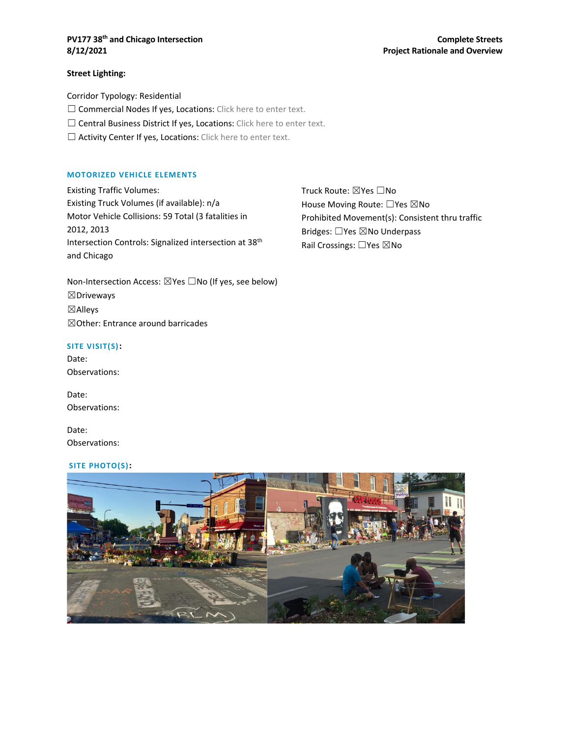#### **PV177 38<sup>th</sup> and Chicago Intersection Complete Streets** Complete Streets **8/12/2021 Project Rationale and Overview**

#### **Street Lighting:**

Corridor Typology: Residential

□ Commercial Nodes If yes, Locations: Click here to enter text.

□ Central Business District If yes, Locations: Click here to enter text.

□ Activity Center If yes, Locations: Click here to enter text.

#### **MOTORIZED VEHICLE ELEMENTS**

Existing Traffic Volumes: Existing Truck Volumes (if available): n/a Motor Vehicle Collisions: 59 Total (3 fatalities in 2012, 2013 Intersection Controls: Signalized intersection at 38th and Chicago

Non-Intersection Access: ⊠Yes □No (If yes, see below) ☒Driveways ☒Alleys ☒Other: Entrance around barricades

#### **SITE VISIT(S):**

Date: Observations:

Date: Observations:

Date: Observations:

#### **SITE PHOTO(S):**



Truck Route: ☒Yes ☐No House Moving Route: □Yes ⊠No Prohibited Movement(s): Consistent thru traffic Bridges: □Yes ⊠No Underpass Rail Crossings: □Yes ⊠No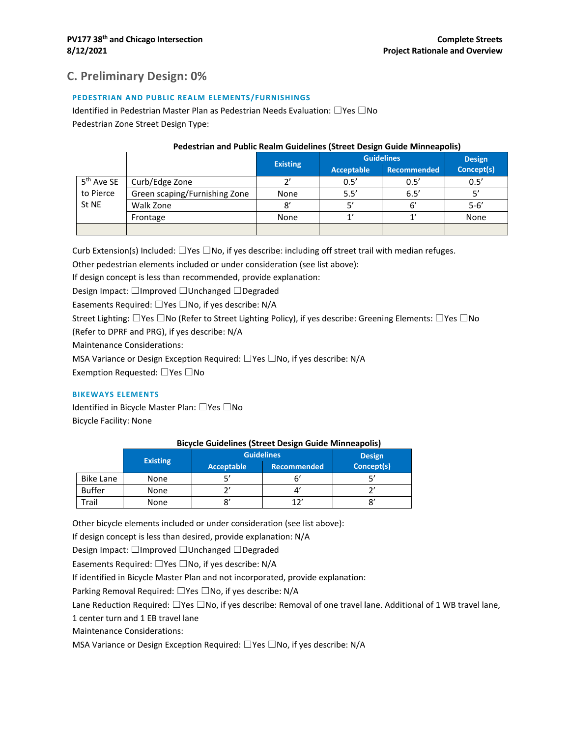### **C. Preliminary Design: 0%**

#### **PEDESTRIAN AND PUBLIC REALM ELEMENTS/FURNISHINGS**

Identified in Pedestrian Master Plan as Pedestrian Needs Evaluation: ☐Yes ☐No Pedestrian Zone Street Design Type:

#### **Pedestrian and Public Realm Guidelines (Street Design Guide Minneapolis)**

|                        |                               | <b>Existing</b> | <b>Guidelines</b> |                    | <b>Design</b> |  |
|------------------------|-------------------------------|-----------------|-------------------|--------------------|---------------|--|
|                        |                               |                 | <b>Acceptable</b> | <b>Recommended</b> | Concept(s)    |  |
| 5 <sup>th</sup> Ave SE | Curb/Edge Zone                | יר              | 0.5'              | 0.5'               | 0.5'          |  |
| to Pierce              | Green scaping/Furnishing Zone | None            | 5.5'              | 6.5'               |               |  |
| St NE                  | Walk Zone                     | 8'              |                   | 6′                 | $5 - 6'$      |  |
|                        | Frontage                      | None            |                   | $\mathbf{1}'$      | None          |  |
|                        |                               |                 |                   |                    |               |  |

Curb Extension(s) Included: ☐Yes ☐No, if yes describe: including off street trail with median refuges.

Other pedestrian elements included or under consideration (see list above):

If design concept is less than recommended, provide explanation:

Design Impact: ☐Improved ☐Unchanged ☐Degraded

Easements Required: ☐Yes ☐No, if yes describe: N/A

Street Lighting: ☐Yes ☐No (Refer to Street Lighting Policy), if yes describe: Greening Elements: ☐Yes ☐No

(Refer to DPRF and PRG), if yes describe: N/A

Maintenance Considerations:

MSA Variance or Design Exception Required: □Yes □No, if yes describe: N/A

Exemption Requested: ☐Yes ☐No

#### **BIKEWAYS ELEMENTS**

Identified in Bicycle Master Plan: ☐Yes ☐No Bicycle Facility: None

#### **Bicycle Guidelines (Street Design Guide Minneapolis)**

|               | <b>Existing</b> | <b>Guidelines</b> | <b>Design</b>      |            |
|---------------|-----------------|-------------------|--------------------|------------|
|               |                 | Acceptable        | <b>Recommended</b> | Concept(s) |
| Bike Lane     | None            |                   |                    |            |
| <b>Buffer</b> | None            |                   |                    |            |
| Frail         | None            |                   | າາ                 |            |

Other bicycle elements included or under consideration (see list above):

If design concept is less than desired, provide explanation: N/A

Design Impact: ☐Improved ☐Unchanged ☐Degraded

Easements Required: ☐Yes ☐No, if yes describe: N/A

If identified in Bicycle Master Plan and not incorporated, provide explanation:

Parking Removal Required: □Yes □No, if yes describe: N/A

Lane Reduction Required: ☐Yes ☐No, if yes describe: Removal of one travel lane. Additional of 1 WB travel lane,

1 center turn and 1 EB travel lane

Maintenance Considerations:

MSA Variance or Design Exception Required: □Yes □No, if yes describe: N/A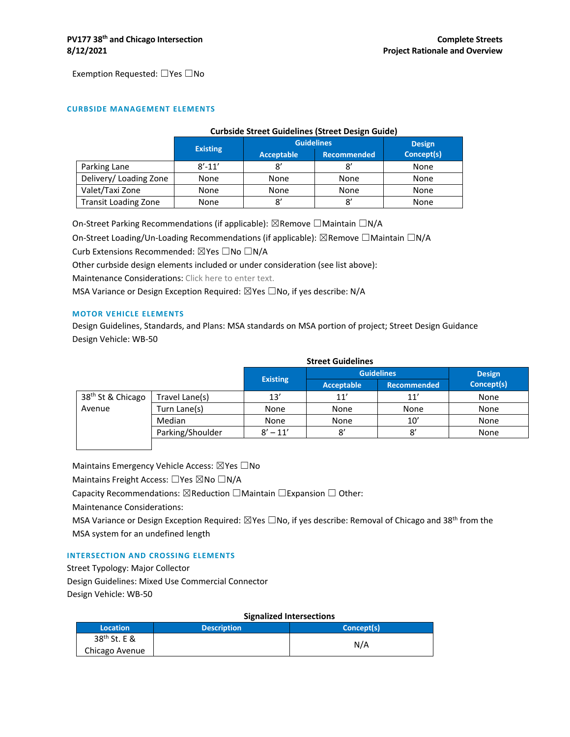Exemption Requested: ☐Yes ☐No

#### **CURBSIDE MANAGEMENT ELEMENTS**

|                             | <b>Curbside Street Guidelines (Street Design Guide)</b> |                   |                    |            |
|-----------------------------|---------------------------------------------------------|-------------------|--------------------|------------|
|                             |                                                         | <b>Guidelines</b> | <b>Design</b>      |            |
|                             | <b>Existing</b>                                         | Acceptable        | <b>Recommended</b> | Concept(s) |
| Parking Lane                | $8' - 11'$                                              |                   | 8'                 | None       |
| Delivery/Loading Zone       | None                                                    | None              | None               | None       |
| Valet/Taxi Zone             | None                                                    | None              | None               | None       |
| <b>Transit Loading Zone</b> | None                                                    | 8'                | 8'                 | None       |

On-Street Parking Recommendations (if applicable): ⊠Remove □Maintain □N/A

On-Street Loading/Un-Loading Recommendations (if applicable): ⊠Remove □Maintain □N/A

Curb Extensions Recommended: ☒Yes ☐No ☐N/A

Other curbside design elements included or under consideration (see list above):

Maintenance Considerations: Click here to enter text.

MSA Variance or Design Exception Required: ⊠Yes □No, if yes describe: N/A

#### **MOTOR VEHICLE ELEMENTS**

Design Guidelines, Standards, and Plans: MSA standards on MSA portion of project; Street Design Guidance Design Vehicle: WB-50

|                               | <b>Street Guidelines</b> |                 |                   |                    |               |
|-------------------------------|--------------------------|-----------------|-------------------|--------------------|---------------|
|                               |                          |                 | <b>Guidelines</b> |                    | <b>Design</b> |
|                               |                          | <b>Existing</b> | Acceptable        | <b>Recommended</b> | Concept(s)    |
| 38 <sup>th</sup> St & Chicago | Travel Lane(s)           | 13'             | 11'               | 11'                | None          |
| Avenue                        | Turn Lane(s)             | None            | None              | None               | None          |
|                               | Median                   | None            | None              | 10'                | None          |
|                               | Parking/Shoulder         | $8' - 11'$      | 8′                | 8'                 | None          |
|                               |                          |                 |                   |                    |               |

Maintains Emergency Vehicle Access: ⊠Yes □No

Maintains Freight Access: □Yes ⊠No □N/A

Capacity Recommendations:  $\boxtimes$  Reduction  $\Box$ Maintain  $\Box$ Expansion  $\Box$  Other:

Maintenance Considerations:

MSA Variance or Design Exception Required:  $\boxtimes$ Yes  $\Box$ No, if yes describe: Removal of Chicago and 38<sup>th</sup> from the MSA system for an undefined length

#### **INTERSECTION AND CROSSING ELEMENTS**

Street Typology: Major Collector Design Guidelines: Mixed Use Commercial Connector Design Vehicle: WB-50

#### **Signalized Intersections**

| Location                 | <b>Description</b> | Concept(s) |
|--------------------------|--------------------|------------|
| 38 <sup>th</sup> St. E & |                    | N/A        |
| Chicago Avenue           |                    |            |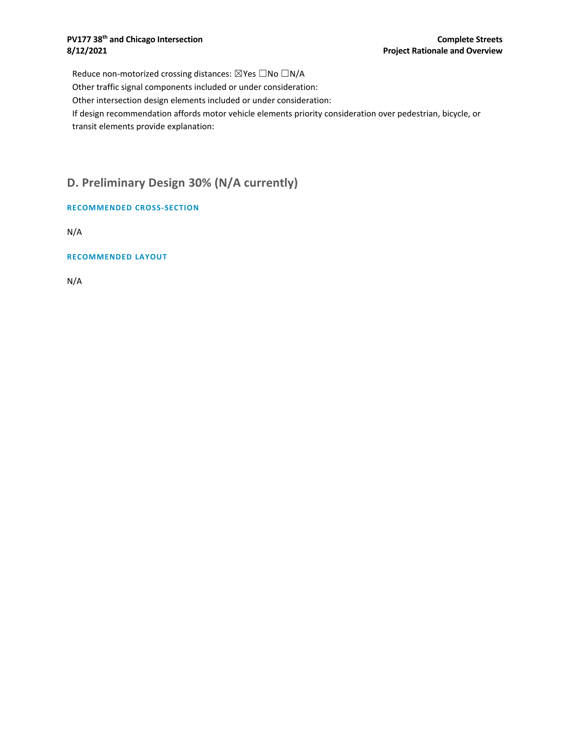#### **PV177 38<sup>th</sup> and Chicago Intersection Complete Streets 8/12/2021 Project Rationale and Overview**

Reduce non-motorized crossing distances: ⊠Yes □No □N/A Other traffic signal components included or under consideration: Other intersection design elements included or under consideration: If design recommendation affords motor vehicle elements priority consideration over pedestrian, bicycle, or transit elements provide explanation:

## **D. Preliminary Design 30% (N/A currently)**

**RECOMMENDED CROSS-SECTION**

N/A

**RECOMMENDED LAYOUT**

N/A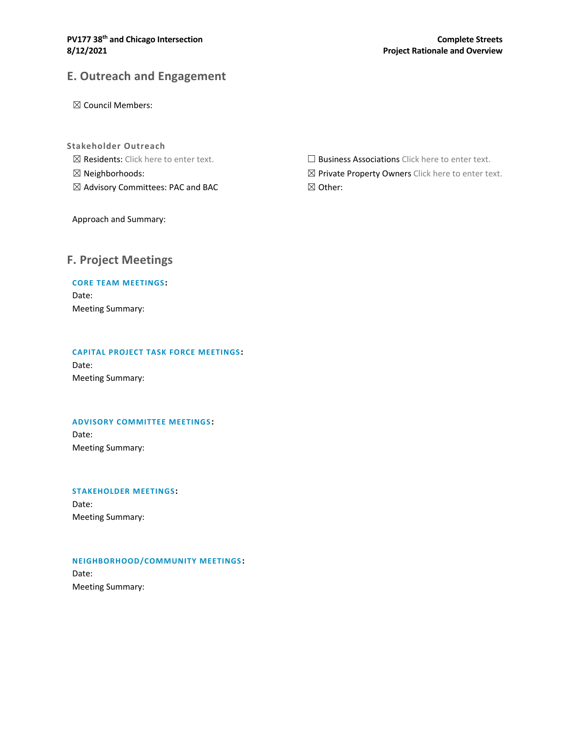## **E. Outreach and Engagement**

☒ Council Members:

- **Stakeholder Outreach**
- ☒ Residents: Click here to enter text.
- ☒ Neighborhoods:
- ☒ Advisory Committees: PAC and BAC

□ Business Associations Click here to enter text.

⊠ Private Property Owners Click here to enter text.

☒ Other:

Approach and Summary:

### **F. Project Meetings**

#### **CORE TEAM MEETINGS:**

Date: Meeting Summary:

#### **CAPITAL PROJECT TASK FORCE MEETINGS :**

Date: Meeting Summary:

#### **ADVISORY COMMITTEE MEETINGS:**

Date: Meeting Summary:

#### **STAKEHOLDER MEETINGS:**

Date: Meeting Summary:

#### **NEIGHBORHOOD/COMMUNITY MEETINGS :**

Date: Meeting Summary: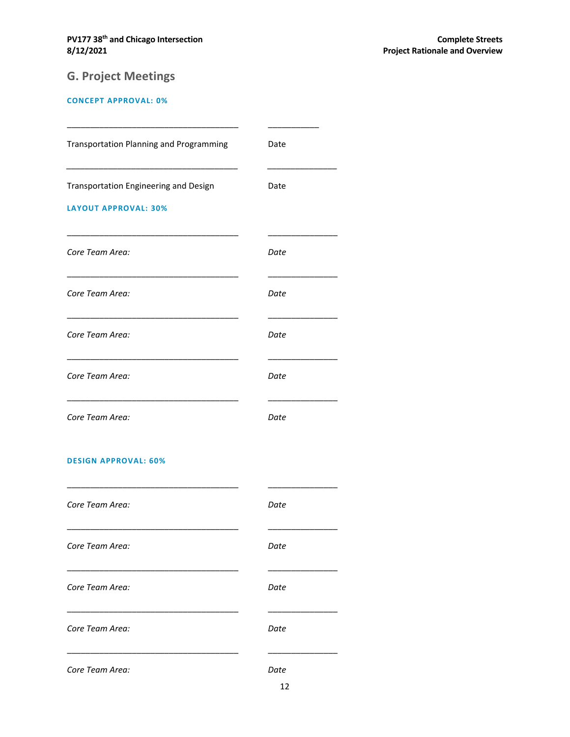# **G. Project Meetings**

#### **CONCEPT APPROVAL: 0%**

| <b>Transportation Planning and Programming</b>                       | Date |
|----------------------------------------------------------------------|------|
| Transportation Engineering and Design<br><b>LAYOUT APPROVAL: 30%</b> | Date |
| Core Team Area:                                                      | Date |
| Core Team Area:                                                      | Date |
| Core Team Area:                                                      | Date |
| Core Team Area:                                                      | Date |
| Core Team Area:                                                      | Date |

#### **DESIGN APPROVAL: 60%**

| Core Team Area: | Date |
|-----------------|------|
| Core Team Area: | Date |
| Core Team Area: | Date |
| Core Team Area: | Date |
| Core Team Area: | Date |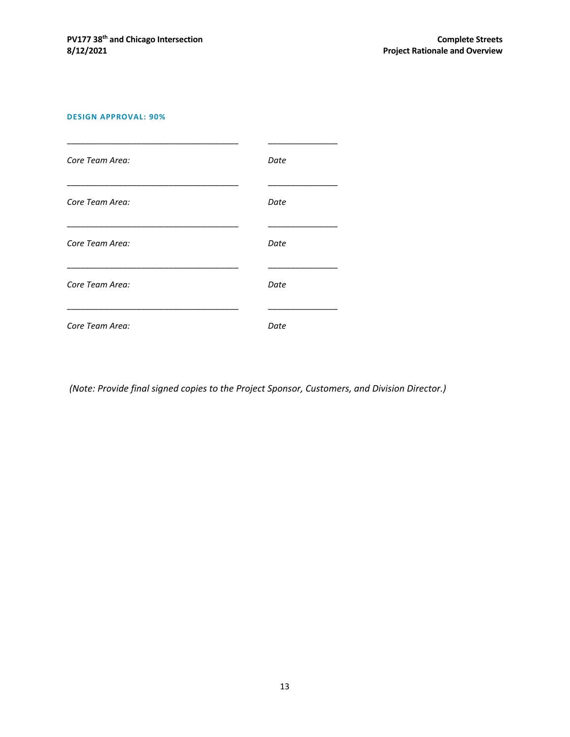#### **DESIGN APPROVAL: 90%**



*(Note: Provide final signed copies to the Project Sponsor, Customers, and Division Director.)*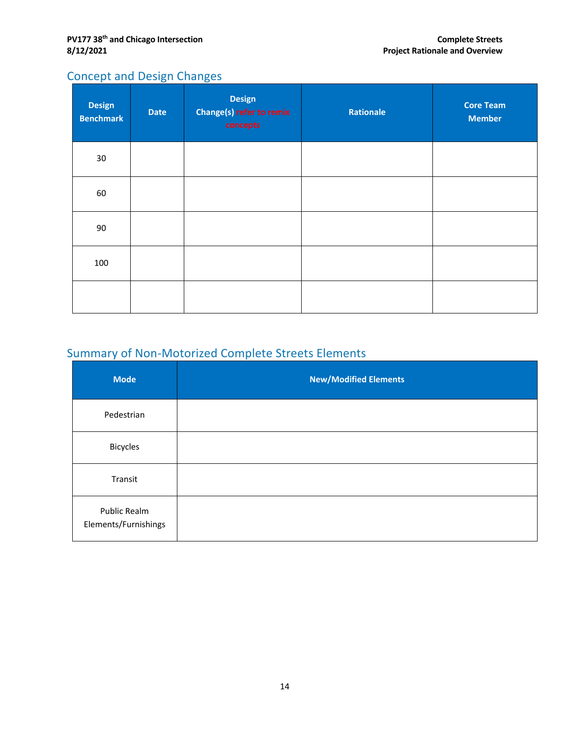## Concept and Design Changes

| <b>Design</b><br><b>Benchmark</b> | <b>Date</b> | <b>Design</b><br><b>Change(s) refer to remix</b><br>concepts | Rationale | <b>Core Team</b><br><b>Member</b> |
|-----------------------------------|-------------|--------------------------------------------------------------|-----------|-----------------------------------|
| 30                                |             |                                                              |           |                                   |
| 60                                |             |                                                              |           |                                   |
| 90                                |             |                                                              |           |                                   |
| 100                               |             |                                                              |           |                                   |
|                                   |             |                                                              |           |                                   |

# Summary of Non-Motorized Complete Streets Elements

| <b>Mode</b>                          | <b>New/Modified Elements</b> |
|--------------------------------------|------------------------------|
| Pedestrian                           |                              |
| <b>Bicycles</b>                      |                              |
| Transit                              |                              |
| Public Realm<br>Elements/Furnishings |                              |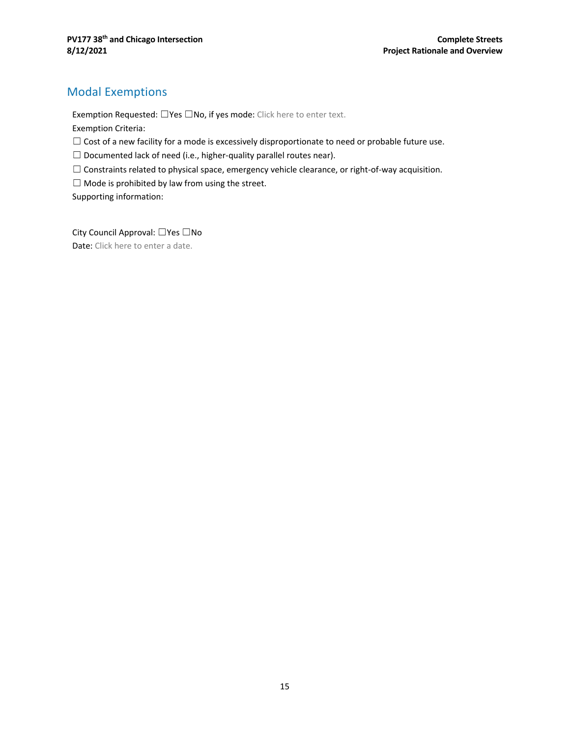## Modal Exemptions

Exemption Requested: □Yes □No, if yes mode: Click here to enter text.

Exemption Criteria:

- $\Box$  Cost of a new facility for a mode is excessively disproportionate to need or probable future use.
- $\Box$  Documented lack of need (i.e., higher-quality parallel routes near).
- ☐ Constraints related to physical space, emergency vehicle clearance, or right-of-way acquisition.
- $\Box$  Mode is prohibited by law from using the street.

Supporting information:

City Council Approval: ☐Yes ☐No Date: Click here to enter a date.